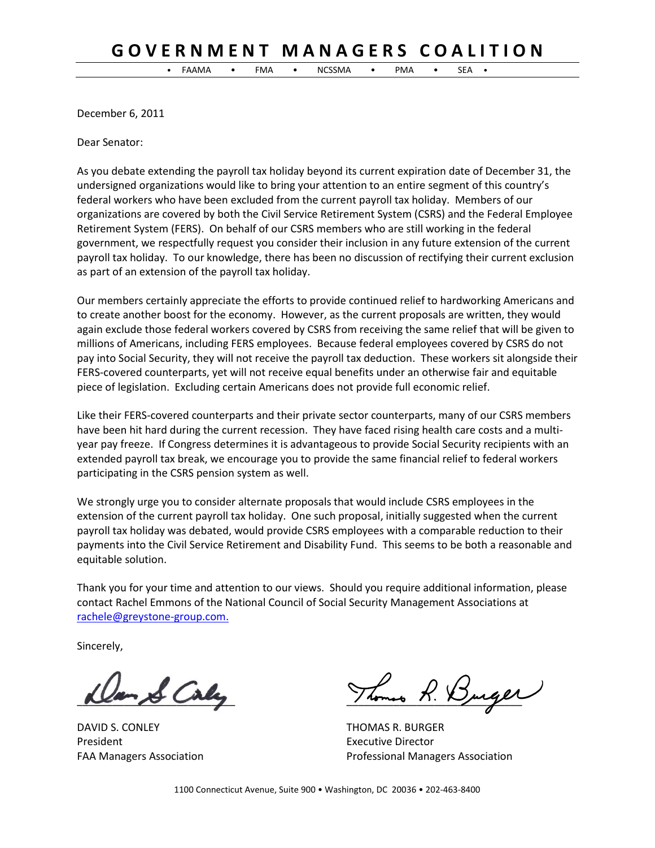## **G O V E R N M E N T M A N A G E R S C O A L I T I O N**

• FAAMA • FMA • NCSSMA • PMA • SEA •

December 6, 2011

Dear Senator:

As you debate extending the payroll tax holiday beyond its current expiration date of December 31, the undersigned organizations would like to bring your attention to an entire segment of this country's federal workers who have been excluded from the current payroll tax holiday. Members of our organizations are covered by both the Civil Service Retirement System (CSRS) and the Federal Employee Retirement System (FERS). On behalf of our CSRS members who are still working in the federal government, we respectfully request you consider their inclusion in any future extension of the current payroll tax holiday. To our knowledge, there has been no discussion of rectifying their current exclusion as part of an extension of the payroll tax holiday.

Our members certainly appreciate the efforts to provide continued relief to hardworking Americans and to create another boost for the economy. However, as the current proposals are written, they would again exclude those federal workers covered by CSRS from receiving the same relief that will be given to millions of Americans, including FERS employees. Because federal employees covered by CSRS do not pay into Social Security, they will not receive the payroll tax deduction. These workers sit alongside their FERS-covered counterparts, yet will not receive equal benefits under an otherwise fair and equitable piece of legislation. Excluding certain Americans does not provide full economic relief.

Like their FERS-covered counterparts and their private sector counterparts, many of our CSRS members have been hit hard during the current recession. They have faced rising health care costs and a multiyear pay freeze. If Congress determines it is advantageous to provide Social Security recipients with an extended payroll tax break, we encourage you to provide the same financial relief to federal workers participating in the CSRS pension system as well.

We strongly urge you to consider alternate proposals that would include CSRS employees in the extension of the current payroll tax holiday. One such proposal, initially suggested when the current payroll tax holiday was debated, would provide CSRS employees with a comparable reduction to their payments into the Civil Service Retirement and Disability Fund. This seems to be both a reasonable and equitable solution.

Thank you for your time and attention to our views. Should you require additional information, please contact Rachel Emmons of the National Council of Social Security Management Associations at [rachele@greystone-group.com.](mailto:rachele@greystone-group.com)

Sincerely,

DAVID S. CONLEY **THOMAS R. BURGER** President **Executive Director Executive Director** 

 $\mathcal{S}$  Caly Thomas R. Burger

FAA Managers Association Professional Managers Association